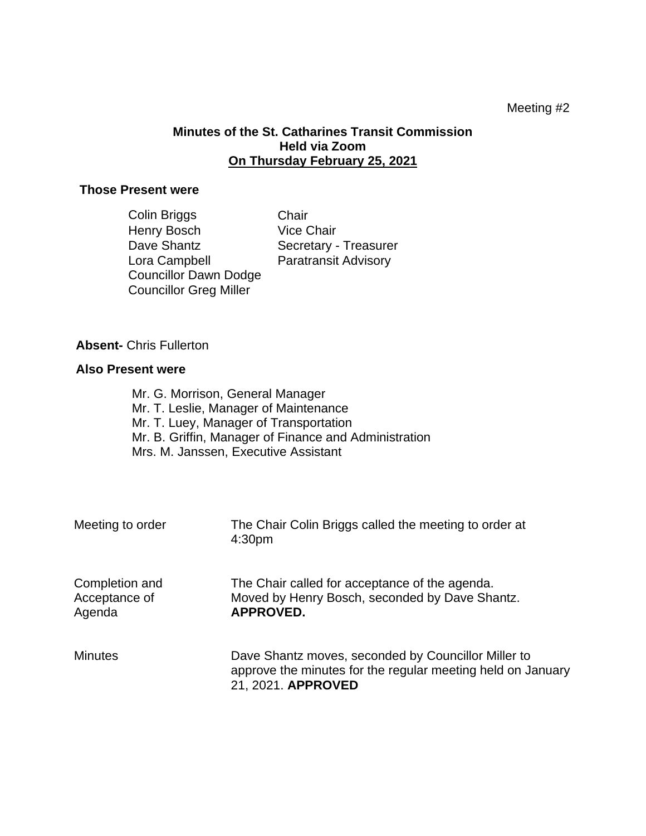## Meeting #2

# **Minutes of the St. Catharines Transit Commission Held via Zoom On Thursday February 25, 2021**

## **Those Present were**

| Colin Briggs           | Chair                       |
|------------------------|-----------------------------|
| Henry Bosch            | <b>Vice Chair</b>           |
| Dave Shantz            | Secretary - Treasurer       |
| Lora Campbell          | <b>Paratransit Advisory</b> |
| Councillor Dawn Dodge  |                             |
| Councillor Greg Miller |                             |

#### **Absent-** Chris Fullerton

#### **Also Present were**

Mr. G. Morrison, General Manager Mr. T. Leslie, Manager of Maintenance Mr. T. Luey, Manager of Transportation Mr. B. Griffin, Manager of Finance and Administration Mrs. M. Janssen, Executive Assistant

| Meeting to order                          | The Chair Colin Briggs called the meeting to order at<br>4:30 <sub>pm</sub>                                                              |
|-------------------------------------------|------------------------------------------------------------------------------------------------------------------------------------------|
| Completion and<br>Acceptance of<br>Agenda | The Chair called for acceptance of the agenda.<br>Moved by Henry Bosch, seconded by Dave Shantz.<br><b>APPROVED.</b>                     |
| <b>Minutes</b>                            | Dave Shantz moves, seconded by Councillor Miller to<br>approve the minutes for the regular meeting held on January<br>21, 2021. APPROVED |